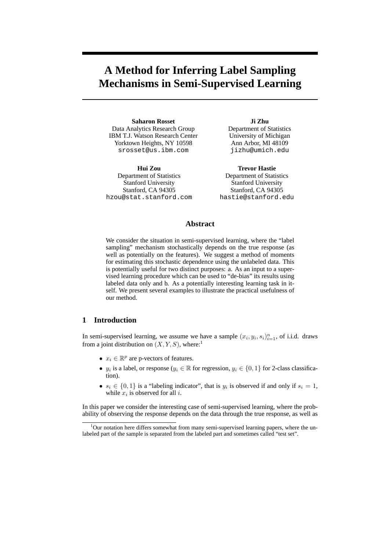# **A Method for Inferring Label Sampling Mechanisms in Semi-Supervised Learning**

**Saharon Rosset** Data Analytics Research Group IBM T.J. Watson Research Center Yorktown Heights, NY 10598 srosset@us.ibm.com

**Hui Zou** Department of Statistics Stanford University Stanford, CA 94305 hzou@stat.stanford.com

**Ji Zhu** Department of Statistics University of Michigan Ann Arbor, MI 48109 jizhu@umich.edu

**Trevor Hastie** Department of Statistics Stanford University Stanford, CA 94305 hastie@stanford.edu

## **Abstract**

We consider the situation in semi-supervised learning, where the "label sampling" mechanism stochastically depends on the true response (as well as potentially on the features). We suggest a method of moments for estimating this stochastic dependence using the unlabeled data. This is potentially useful for two distinct purposes: a. As an input to a supervised learning procedure which can be used to "de-bias" its results using labeled data only and b. As a potentially interesting learning task in itself. We present several examples to illustrate the practical usefulness of our method.

## **1 Introduction**

In semi-supervised learning, we assume we have a sample  $(x_i, y_i, s_i)_{i=1}^n$ , of i.i.d. draws from a joint distribution on  $(X, Y, S)$ , where:<sup>1</sup>

- $x_i \in \mathbb{R}^p$  are p-vectors of features.
- $y_i$  is a label, or response ( $y_i \in \mathbb{R}$  for regression,  $y_i \in \{0,1\}$  for 2-class classification).
- $s_i \in \{0,1\}$  is a "labeling indicator", that is  $y_i$  is observed if and only if  $s_i = 1$ , while  $x_i$  is observed for all i.

In this paper we consider the interesting case of semi-supervised learning, where the probability of observing the response depends on the data through the true response, as well as

 $1$ Our notation here differs somewhat from many semi-supervised learning papers, where the unlabeled part of the sample is separated from the labeled part and sometimes called "test set".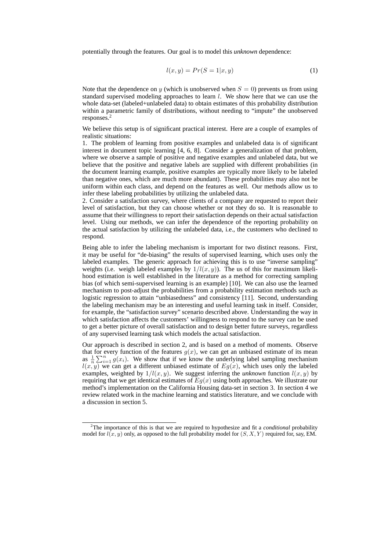potentially through the features. Our goal is to model this *unknown* dependence:

$$
l(x,y) = Pr(S = 1|x,y)
$$
\n<sup>(1)</sup>

Note that the dependence on y (which is unobserved when  $S = 0$ ) prevents us from using standard supervised modeling approaches to learn  $l$ . We show here that we can use the whole data-set (labeled+unlabeled data) to obtain estimates of this probability distribution within a parametric family of distributions, without needing to "impute" the unobserved responses.<sup>2</sup>

We believe this setup is of significant practical interest. Here are a couple of examples of realistic situations:

1. The problem of learning from positive examples and unlabeled data is of significant interest in document topic learning [4, 6, 8]. Consider a generalization of that problem, where we observe a sample of positive and negative examples and unlabeled data, but we believe that the positive and negative labels are supplied with different probabilities (in the document learning example, positive examples are typically more likely to be labeled than negative ones, which are much more abundant). These probabilities may also not be uniform within each class, and depend on the features as well. Our methods allow us to infer these labeling probabilities by utilizing the unlabeled data.

2. Consider a satisfaction survey, where clients of a company are requested to report their level of satisfaction, but they can choose whether or not they do so. It is reasonable to assume that their willingness to report their satisfaction depends on their actual satisfaction level. Using our methods, we can infer the dependence of the reporting probability on the actual satisfaction by utilizing the unlabeled data, i.e., the customers who declined to respond.

Being able to infer the labeling mechanism is important for two distinct reasons. First, it may be useful for "de-biasing" the results of supervised learning, which uses only the labeled examples. The generic approach for achieving this is to use "inverse sampling" weights (i.e. weigh labeled examples by  $1/l(x, y)$ ). The us of this for maximum likelihood estimation is well established in the literature as a method for correcting sampling bias (of which semi-supervised learning is an example) [10]. We can also use the learned mechanism to post-adjust the probabilities from a probability estimation methods such as logistic regression to attain "unbiasedness" and consistency [11]. Second, understanding the labeling mechanism may be an interesting and useful learning task in itself. Consider, for example, the "satisfaction survey" scenario described above. Understanding the way in which satisfaction affects the customers' willingness to respond to the survey can be used to get a better picture of overall satisfaction and to design better future surveys, regardless of any supervised learning task which models the actual satisfaction.

Our approach is described in section 2, and is based on a method of moments. Observe that for every function of the features  $g(x)$ , we can get an unbiased estimate of its mean as  $\frac{1}{n}$ or every function of the features  $g(x)$ , we can get an unbiased estimate of its mean  $\sum_{i=1}^{n} g(x_i)$ . We show that if we know the underlying label sampling mechanism  $l(x, y)$  we can get a different unbiased estimate of  $Eg(x)$ , which uses only the labeled examples, weighted by  $1/l(x, y)$ . We suggest inferring the *unknown* function  $l(x, y)$  by requiring that we get identical estimates of  $Eq(x)$  using both approaches. We illustrate our method's implementation on the California Housing data-set in section 3. In section 4 we review related work in the machine learning and statistics literature, and we conclude with a discussion in section 5.

<sup>2</sup>The importance of this is that we are required to hypothesize and fit a *conditional* probability model for  $l(x, y)$  only, as opposed to the full probability model for  $(S, X, Y)$  required for, say, EM.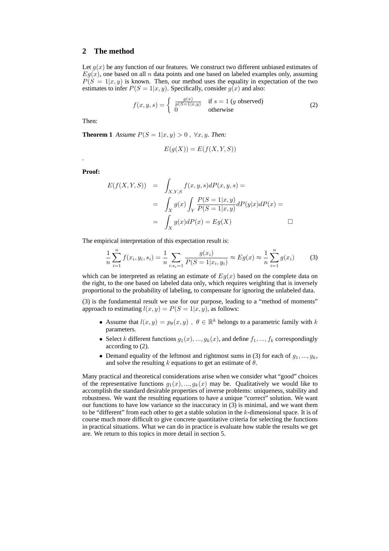#### **2 The method**

Let  $g(x)$  be any function of our features. We construct two different unbiased estimates of  $Eg(x)$ , one based on all n data points and one based on labeled examples only, assuming  $P(S = 1|x, y)$  is known. Then, our method uses the equality in expectation of the two estimates to infer  $P(S = 1|x, y)$ . Specifically, consider  $g(x)$  and also:

$$
f(x, y, s) = \begin{cases} \frac{g(x)}{p(S=1|x,y)} & \text{if } s = 1 \ (y \text{ observed})\\ 0 & \text{otherwise} \end{cases}
$$
 (2)

Then:

**Theorem 1** *Assume*  $P(S = 1|x, y) > 0$ ,  $\forall x, y$ *. Then:* 

$$
E(g(X)) = E(f(X, Y, S))
$$

**Proof:**

*.*

$$
E(f(X, Y, S)) = \int_{X,Y,S} f(x, y, s) dP(x, y, s) =
$$
  
= 
$$
\int_X g(x) \int_Y \frac{P(S = 1|x, y)}{P(S = 1|x, y)} dP(y|x) dP(x) =
$$
  
= 
$$
\int_X g(x) dP(x) = Eg(X) \qquad \Box
$$

The empirical interpretation of this expectation result is:

$$
\frac{1}{n}\sum_{i=1}^{n}f(x_i,y_i,s_i) = \frac{1}{n}\sum_{i:s_i=1}^{n}\frac{g(x_i)}{P(S=1|x_i,y_i)} \approx Eg(x) \approx \frac{1}{n}\sum_{i=1}^{n}g(x_i)
$$
(3)

which can be interpreted as relating an estimate of  $Eq(x)$  based on the complete data on the right, to the one based on labeled data only, which requires weighting that is inversely proportional to the probability of labeling, to compensate for ignoring the unlabeled data.

(3) is the fundamental result we use for our purpose, leading to a "method of moments" approach to estimating  $l(x, y) = P(S = 1|x, y)$ , as follows:

- Assume that  $l(x, y) = p_{\theta}(x, y)$ ,  $\theta \in \mathbb{R}^k$  belongs to a parametric family with k parameters.
- Select k different functions  $g_1(x),..., g_k(x)$ , and define  $f_1,..., f_k$  correspondingly according to (2).
- Demand equality of the leftmost and rightmost sums in (3) for each of  $g_1, ..., g_k$ , and solve the resulting k equations to get an estimate of  $\theta$ .

Many practical and theoretical considerations arise when we consider what "good" choices of the representative functions  $q_1(x),..., q_k(x)$  may be. Qualitatively we would like to accomplish the standard desirable properties of inverse problems: uniqueness, stability and robustness. We want the resulting equations to have a unique "correct" solution. We want our functions to have low variance so the inaccuracy in (3) is minimal, and we want them to be "different" from each other to get a stable solution in the  $k$ -dimensional space. It is of course much more difficult to give concrete quantitative criteria for selecting the functions in practical situations. What we can do in practice is evaluate how stable the results we get are. We return to this topics in more detail in section 5.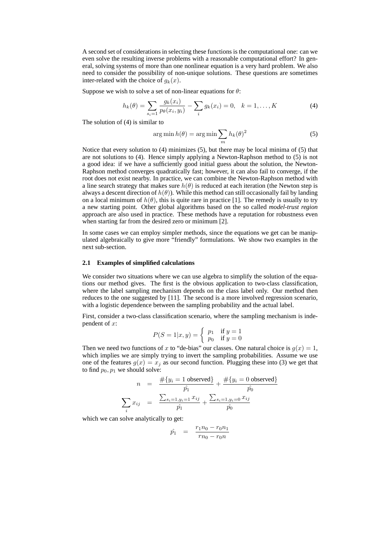A second set of considerations in selecting these functions is the computational one: can we even solve the resulting inverse problems with a reasonable computational effort? In general, solving systems of more than one nonlinear equation is a very hard problem. We also need to consider the possibility of non-unique solutions. These questions are sometimes inter-related with the choice of  $q_k(x)$ .

Suppose we wish to solve a set of non-linear equations for  $\theta$ :

$$
h_k(\theta) = \sum_{s_i=1} \frac{g_k(x_i)}{p_{\theta}(x_i, y_i)} - \sum_i g_k(x_i) = 0, \quad k = 1, ..., K
$$
 (4)

The solution of (4) is similar to

$$
\arg\min h(\theta) = \arg\min \sum_{m} h_k(\theta)^2 \tag{5}
$$

Notice that every solution to (4) minimizes (5), but there may be local minima of (5) that are not solutions to (4). Hence simply applying a Newton-Raphson method to (5) is not a good idea: if we have a sufficiently good initial guess about the solution, the Newton-Raphson method converges quadratically fast; however, it can also fail to converge, if the root does not exist nearby. In practice, we can combine the Newton-Raphson method with a line search strategy that makes sure  $h(\theta)$  is reduced at each iteration (the Newton step is always a descent direction of  $h(\theta)$ ). While this method can still occasionally fail by landing on a local minimum of  $h(\theta)$ , this is quite rare in practice [1]. The remedy is usually to try a new starting point. Other global algorithms based on the so called *model-trust region* approach are also used in practice. These methods have a reputation for robustness even when starting far from the desired zero or minimum [2].

In some cases we can employ simpler methods, since the equations we get can be manipulated algebraically to give more "friendly" formulations. We show two examples in the next sub-section.

#### **2.1 Examples of simplified calculations**

We consider two situations where we can use algebra to simplify the solution of the equations our method gives. The first is the obvious application to two-class classification, where the label sampling mechanism depends on the class label only. Our method then reduces to the one suggested by [11]. The second is a more involved regression scenario, with a logistic dependence between the sampling probability and the actual label.

First, consider a two-class classification scenario, where the sampling mechanism is independent of x:

$$
P(S = 1|x, y) = \begin{cases} p_1 & \text{if } y = 1\\ p_0 & \text{if } y = 0 \end{cases}
$$

Then we need two functions of x to "de-bias" our classes. One natural choice is  $g(x) = 1$ , which implies we are simply trying to invert the sampling probabilities. Assume we use one of the features  $g(x) = x_i$  as our second function. Plugging these into (3) we get that to find  $p_0, p_1$  we should solve:

$$
n = \frac{\#\{y_i = 1 \text{ observed}\}}{\hat{p}_1} + \frac{\#\{y_i = 0 \text{ observed}\}}{\hat{p}_0}
$$

$$
\sum_i x_{ij} = \frac{\sum_{s_i=1, y_i=1} x_{ij}}{\hat{p}_1} + \frac{\sum_{s_i=1, y_i=0} x_{ij}}{\hat{p}_0}
$$

which we can solve analytically to get:

$$
\hat{p_1} = \frac{r_1 n_0 - r_0 n_1}{r n_0 - r_0 n}
$$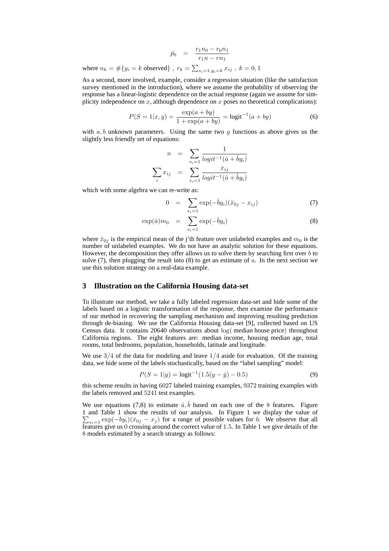$$
\hat{p_0} = \frac{r_1 n_0 - r_0 n_1}{r_1 n - r n_1}
$$
\nwhere  $n_k = #\{y_i = k \text{ observed}\}$ ,  $r_k = \sum_{s_i = 1, y_i = k} x_{ij}$ ,  $k = 0, 1$ 

As a second, more involved, example, consider a regression situation (like the satisfaction survey mentioned in the introduction), where we assume the probability of observing the response has a linear-logistic dependence on the actual response (again we assume for simplicity independence on  $x$ , although dependence on  $x$  poses no theoretical complications):

$$
P(S = 1|x, y) = \frac{\exp(a + by)}{1 + \exp(a + by)} = \text{logit}^{-1}(a + by)
$$
 (6)

with  $a, b$  unknown parameters. Using the same two g functions as above gives us the slightly less friendly set of equations:

$$
n = \sum_{s_i=1}^{\infty} \frac{1}{logit^{-1}(\hat{a} + \hat{b}y_i)}
$$

$$
\sum_i x_{ij} = \sum_{s_i=1}^{\infty} \frac{x_{ij}}{logit^{-1}(\hat{a} + \hat{b}y_i)}
$$

which with some algebra we can re-write as:

$$
0 = \sum_{s_i=1} \exp(-\hat{b}y_i)(\bar{x}_{0j} - x_{ij})
$$
 (7)

$$
\exp(\hat{a})m_0 = \sum_{s_i=1}^{s_i=1} \exp(-\hat{b}y_i)
$$
\n(8)

where  $\bar{x}_{0j}$  is the empirical mean of the j'th feature over unlabeled examples and  $m_0$  is the number of unlabeled examples. We do not have an analytic solution for these equations. However, the decomposition they offer allows us to solve them by searching first over  $b$  to solve  $(7)$ , then plugging the result into  $(8)$  to get an estimate of a. In the next section we use this solution strategy on a real-data example.

## **3 Illustration on the California Housing data-set**

To illustrate our method, we take a fully labeled regression data-set and hide some of the labels based on a logistic transformation of the response, then examine the performance of our method in recovering the sampling mechanism and improving resulting prediction through de-biasing. We use the California Housing data-set [9], collected based on US Census data. It contains 20640 observations about log( median house price) throughout California regions. The eight features are: median income, housing median age, total rooms, total bedrooms, population, households, latitude and longitude.

We use  $3/4$  of the data for modeling and leave  $1/4$  aside for evaluation. Of the training data, we hide some of the labels stochastically, based on the "label sampling" model:

$$
P(S = 1|y) = \text{logit}^{-1}(1.5(y - \bar{y}) - 0.5)
$$
\n(9)

this scheme results in having 6027 labeled training examples, 9372 training examples with the labels removed and 5241 test examples.

We use equations (7,8) to estimate  $\hat{a}, \hat{b}$  based on each one of the 8 features. Figure 1 and Table 1 show the results of our analysis. In Figure 1 we display the value of P  $\sum_{s=1}$  exp $(-by_i)(\bar{x}_{0j} - x_j)$  for a range of possible values for b. We observe that all features give us  $\hat{0}$  crossing around the correct value of 1.5. In Table 1 we give details of the 8 models estimated by a search strategy as follows: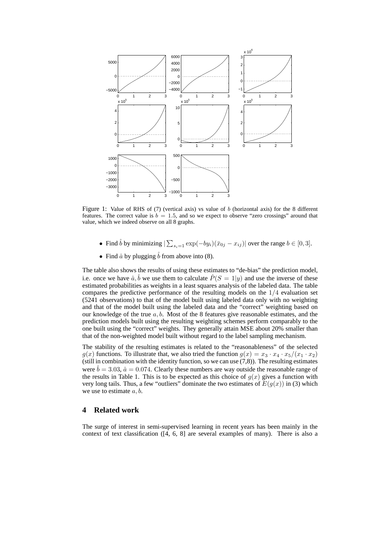

Figure 1: Value of RHS of  $(7)$  (vertical axis) vs value of b (horizontal axis) for the 8 different features. The correct value is  $b = 1.5$ , and so we expect to observe "zero crossings" around that value, which we indeed observe on all 8 graphs.

- Find  $\hat{b}$  by minimizing  $|\sum_{s_i=1}^{\infty} \exp(-by_i)(\bar{x}_{0j} x_{ij})|$  over the range  $b \in [0, 3]$ .
- Find  $\hat{a}$  by plugging  $\hat{b}$  from above into (8).

The table also shows the results of using these estimates to "de-bias" the prediction model, i.e. once we have  $\hat{a}, \hat{b}$  we use them to calculate  $\hat{P}(S = 1|y)$  and use the inverse of these estimated probabilities as weights in a least squares analysis of the labeled data. The table compares the predictive performance of the resulting models on the 1/4 evaluation set (5241 observations) to that of the model built using labeled data only with no weighting and that of the model built using the labeled data and the "correct" weighting based on our knowledge of the true  $a, b$ . Most of the 8 features give reasonable estimates, and the prediction models built using the resulting weighting schemes perform comparably to the one built using the "correct" weights. They generally attain MSE about 20% smaller than that of the non-weighted model built without regard to the label sampling mechanism.

The stability of the resulting estimates is related to the "reasonableness" of the selected  $g(x)$  functions. To illustrate that, we also tried the function  $g(x) = x_3 \cdot x_4 \cdot x_5/(x_1 \cdot x_2)$ (still in combination with the identity function, so we can use  $(7,8)$ ). The resulting estimates were  $\hat{b} = 3.03$ ,  $\hat{a} = 0.074$ . Clearly these numbers are way outside the reasonable range of the results in Table 1. This is to be expected as this choice of  $g(x)$  gives a function with very long tails. Thus, a few "outliers" dominate the two estimates of  $E(g(x))$  in (3) which we use to estimate  $a, b$ .

#### **4 Related work**

The surge of interest in semi-supervised learning in recent years has been mainly in the context of text classification ([4, 6, 8] are several examples of many). There is also a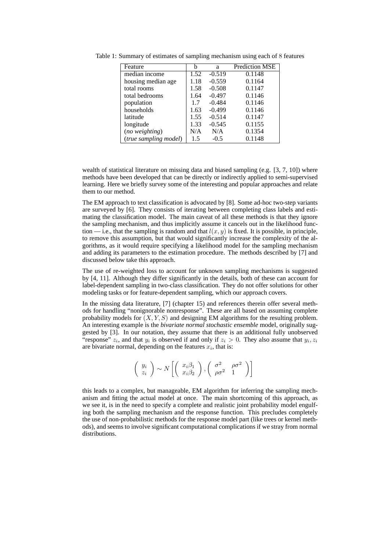| Feature               | h    | a        | <b>Prediction MSE</b> |
|-----------------------|------|----------|-----------------------|
| median income         | 1.52 | $-0.519$ | 0.1148                |
| housing median age    | 1.18 | $-0.559$ | 0.1164                |
| total rooms           | 1.58 | $-0.508$ | 0.1147                |
| total bedrooms        | 1.64 | $-0.497$ | 0.1146                |
| population            | 1.7  | $-0.484$ | 0.1146                |
| households            | 1.63 | $-0.499$ | 0.1146                |
| latitude              | 1.55 | $-0.514$ | 0.1147                |
| longitude             | 1.33 | $-0.545$ | 0.1155                |
| (no weighting)        | N/A  | N/A      | 0.1354                |
| (true sampling model) | 1.5  | $-0.5$   | 0.1148                |

Table 1: Summary of estimates of sampling mechanism using each of 8 features

wealth of statistical literature on missing data and biased sampling (e.g. [3, 7, 10]) where methods have been developed that can be directly or indirectly applied to semi-supervised learning. Here we briefly survey some of the interesting and popular approaches and relate them to our method.

The EM approach to text classification is advocated by [8]. Some ad-hoc two-step variants are surveyed by [6]. They consists of iterating between completing class labels and estimating the classification model. The main caveat of all these methods is that they ignore the sampling mechanism, and thus implicitly assume it cancels out in the likelihood function — i.e., that the sampling is random and that  $l(x, y)$  is fixed. It is possible, in principle, to remove this assumption, but that would significantly increase the complexity of the algorithms, as it would require specifying a likelihood model for the sampling mechanism and adding its parameters to the estimation procedure. The methods described by [7] and discussed below take this approach.

The use of re-weighted loss to account for unknown sampling mechanisms is suggested by [4, 11]. Although they differ significantly in the details, both of these can account for label-dependent sampling in two-class classification. They do not offer solutions for other modeling tasks or for feature-dependent sampling, which our approach covers.

In the missing data literature, [7] (chapter 15) and references therein offer several methods for handling "nonignorable nonresponse". These are all based on assuming complete probability models for  $(X, Y, S)$  and designing EM algorithms for the resulting problem. An interesting example is the *bivariate normal stochastic ensemble* model, originally suggested by [3]. In our notation, they assume that there is an additional fully unobserved "response"  $z_i$ , and that  $y_i$  is observed if and only if  $z_i > 0$ . They also assume that  $y_i, z_i$ are bivariate normal, depending on the features  $x_i$ , that is:

$$
\left(\begin{array}{c} y_i \\ z_i \end{array}\right) \sim N\left[\left(\begin{array}{c} x_i\beta_1 \\ x_i\beta_2 \end{array}\right), \left(\begin{array}{cc} \sigma^2 & \rho\sigma^2 \\ \rho\sigma^2 & 1 \end{array}\right)\right]
$$

this leads to a complex, but manageable, EM algorithm for inferring the sampling mechanism and fitting the actual model at once. The main shortcoming of this approach, as we see it, is in the need to specify a complete and realistic joint probability model engulfing both the sampling mechanism and the response function. This precludes completely the use of non-probabilistic methods for the response model part (like trees or kernel methods), and seems to involve significant computational complications if we stray from normal distributions.